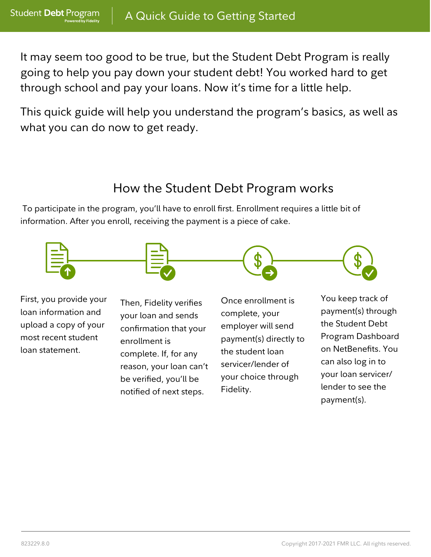upload a copy of your most recent student loan statement.

**Student Debt Program** 

**Powered by Fidelity** 

It may seem too good to be true, but the Student Debt Program is really going to help you pay down your student debt! You worked hard to get through school and pay your loans. Now it's time for a little help.

This quick guide will help you understand the program's basics, as well as what you can do now to get ready.



## How the Student Debt Program works

your loan and sends confirmation that your enrollment is complete. If, for any reason, your loan can't be verified, you'll be notified of next steps.

employer will send payment(s) directly to the student loan servicer/lender of your choice through Fidelity.

the Student Debt Program Dashboard on NetBenefits. You can also log in to your loan servicer/ lender to see the payment(s).

To participate in the program, you'll have to enroll first. Enrollment requires a little bit of information. After you enroll, receiving the payment is a piece of cake.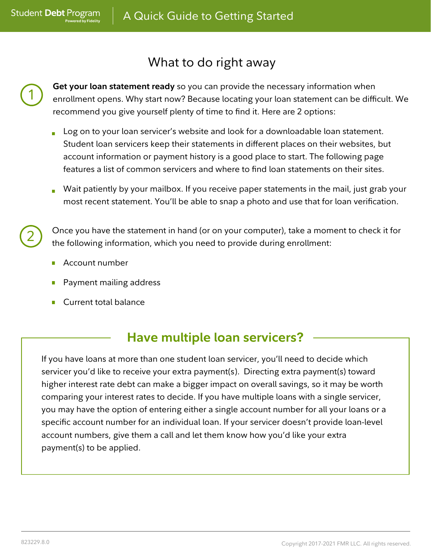**Get your loan statement ready** so you can provide the necessary information when enrollment opens. Why start now? Because locating your loan statement can be difficult. We recommend you give yourself plenty of time to find it. Here are 2 options:

Once you have the statement in hand (or on your computer), take a moment to check it for the following information, which you need to provide during enrollment:

### What to do right away

Account number

- Payment mailing address
- Current total balance
- Log on to your loan servicer's website and look for a downloadable loan statement. Student loan servicers keep their statements in different places on their websites, but account information or payment history is a good place to start. The following page features a list of common servicers and where to find loan statements on their sites.
- Wait patiently by your mailbox. If you receive paper statements in the mail, just grab your most recent statement. You'll be able to snap a photo and use that for loan verification.

1

**Student Debt Program** 

**Powered by Fidelity** 

2

## **Have multiple loan servicers?**

If you have loans at more than one student loan servicer, you'll need to decide which servicer you'd like to receive your extra payment(s). Directing extra payment(s) toward higher interest rate debt can make a bigger impact on overall savings, so it may be worth comparing your interest rates to decide. If you have multiple loans with a single servicer, you may have the option of entering either a single account number for all your loans or a specific account number for an individual loan. If your servicer doesn't provide loan-level account numbers, give them a call and let them know how you'd like your extra payment(s) to be applied.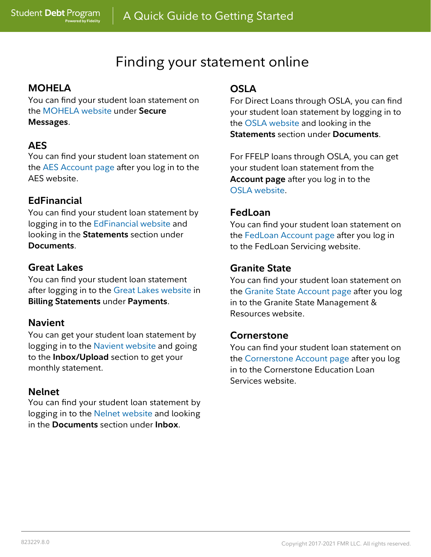#### **MOHELA**

**Student Debt Program** 

**Powered by Fidelity** 

You can find your student loan statement on the MOHELA website under **Secure Messages**.

#### **AES**

You can find your student loan statement on the AES Account page after you log in to the AES website.

#### **EdFinancial**

You can find your student loan statement by logging in to the EdFinancial website and looking in the **Statements** section under **Documents**.

#### **Great Lakes**

You can find your student loan statement after logging in to the Great Lakes website in **Billing Statements** under **Payments**.

#### **Navient**

You can get your student loan statement by logging in to the Navient website and going to the **Inbox/Upload** section to get your monthly statement.

#### **Nelnet**

You can find your student loan statement by logging in to the Nelnet website and looking in the **Documents** section under **Inbox**.

#### **OSLA**

For Direct Loans through OSLA, you can find your student loan statement by logging in to the OSLA website and looking in the **Statements** section under **Documents**.

For FFELP loans through OSLA, you can get your student loan statement from the **Account page** after you log in to the OSLA website.

#### **FedLoan**

You can find your student loan statement on the FedLoan Account page after you log in to the FedLoan Servicing website.

#### **Granite State**

You can find your student loan statement on the Granite State Account page after you log in to the Granite State Management & Resources website.

#### **Cornerstone**

You can find your student loan statement on the Cornerstone Account page after you log in to the Cornerstone Education Loan Services website.

# Finding your statement online